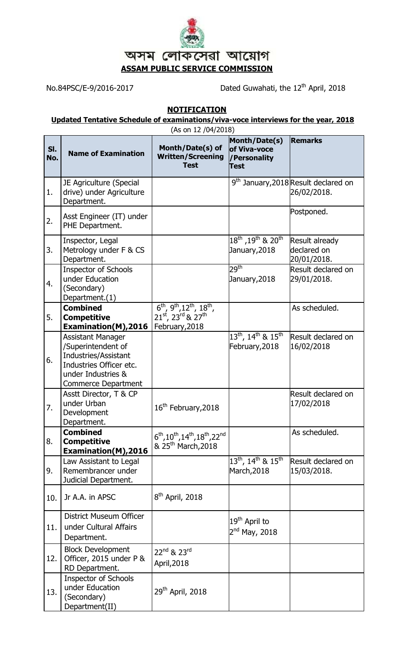

No.84PSC/E-9/2016-2017 Dated Guwahati, the 12<sup>th</sup> April, 2018

## **NOTIFICATION**

## **Updated Tentative Schedule of examinations/viva-voce interviews for the year, 2018**

|            | (As on 12 /04/2018)                                                                                                                            |                                                                                                                               |                                                                                |                                                                 |  |  |
|------------|------------------------------------------------------------------------------------------------------------------------------------------------|-------------------------------------------------------------------------------------------------------------------------------|--------------------------------------------------------------------------------|-----------------------------------------------------------------|--|--|
| SI.<br>No. | <b>Name of Examination</b>                                                                                                                     | Month/Date(s) of<br><b>Written/Screening</b><br><b>Test</b>                                                                   | Month/Date(s)<br>of Viva-voce<br>/Personality<br><b>Test</b>                   | <b>Remarks</b>                                                  |  |  |
| 1.         | JE Agriculture (Special<br>drive) under Agriculture<br>Department.                                                                             |                                                                                                                               |                                                                                | 9 <sup>th</sup> January, 2018 Result declared on<br>26/02/2018. |  |  |
| 2.         | Asst Engineer (IT) under<br>PHE Department.                                                                                                    |                                                                                                                               |                                                                                | Postponed.                                                      |  |  |
| 3.         | Inspector, Legal<br>Metrology under F & CS<br>Department.                                                                                      |                                                                                                                               | $18^{\mathsf{th}}$ ,19 $^{\mathsf{th}}$ & 20 $^{\mathsf{th}}$<br>January, 2018 | Result already<br>declared on<br>20/01/2018.                    |  |  |
| 4.         | <b>Inspector of Schools</b><br>under Education<br>(Secondary)<br>Department.(1)                                                                |                                                                                                                               | 29 <sup>th</sup><br>January, 2018                                              | Result declared on<br>29/01/2018.                               |  |  |
| 5.         | <b>Combined</b><br><b>Competitive</b><br>Examination(M), 2016                                                                                  | $\overline{6^{th}, 9^{th}, 12^{th}, 18^{th}}$ ,<br>21 <sup>st</sup> , 23rd & 27 <sup>th</sup><br>February, 2018               |                                                                                | As scheduled.                                                   |  |  |
| 6.         | <b>Assistant Manager</b><br>/Superintendent of<br>Industries/Assistant<br>Industries Officer etc.<br>under Industries &<br>Commerce Department |                                                                                                                               | $13^{\text{th}}$ , $14^{\text{th}}$ & $15^{\text{th}}$<br>February, 2018       | Result declared on<br>16/02/2018                                |  |  |
| 7.         | Asstt Director, T & CP<br>under Urban<br>Development<br>Department.                                                                            | 16 <sup>th</sup> February, 2018                                                                                               |                                                                                | Result declared on<br>17/02/2018                                |  |  |
| 8.         | <b>Combined</b><br><b>Competitive</b><br><b>Examination(M), 2016</b>                                                                           | $6^{\text{th}}$ , $10^{\text{th}}$ , $14^{\text{th}}$ , $18^{\text{th}}$ , $22^{\text{nd}}$<br>& 25 <sup>th</sup> March, 2018 |                                                                                | As scheduled.                                                   |  |  |
| 9.         | Law Assistant to Legal<br>Remembrancer under<br>Judicial Department.                                                                           |                                                                                                                               | $13^{\text{th}}$ , $14^{\text{th}}$ & $15^{\text{th}}$<br>March, 2018          | Result declared on<br>15/03/2018.                               |  |  |
| 10.        | Jr A.A. in APSC                                                                                                                                | $8th$ April, 2018                                                                                                             |                                                                                |                                                                 |  |  |
| 11.        | District Museum Officer<br>under Cultural Affairs<br>Department.                                                                               |                                                                                                                               | 19 <sup>th</sup> April to<br>$2nd$ May, 2018                                   |                                                                 |  |  |
| 12.        | <b>Block Development</b><br>Officer, 2015 under P &<br>RD Department.                                                                          | 22nd & 23rd<br>April, 2018                                                                                                    |                                                                                |                                                                 |  |  |
| 13.        | <b>Inspector of Schools</b><br>under Education<br>(Secondary)<br>Department(II)                                                                | 29 <sup>th</sup> April, 2018                                                                                                  |                                                                                |                                                                 |  |  |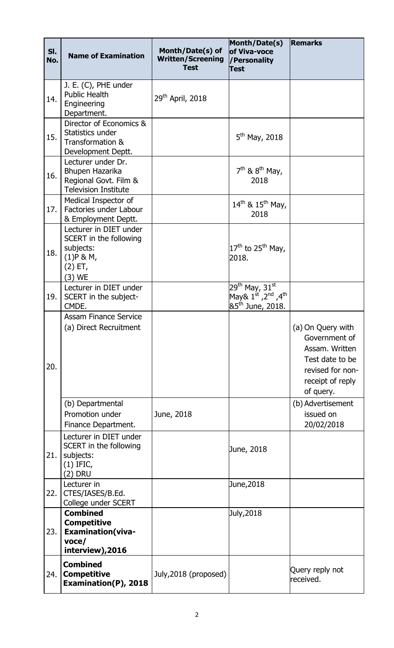| SI.<br>No. | <b>Name of Examination</b>                                                                            | Month/Date(s) of<br><b>Written/Screening</b><br><b>Test</b> | Month/Date(s)<br>of Viva-voce<br>/Personality<br><b>Test</b>                                                                | <b>Remarks</b>                                                                                                               |
|------------|-------------------------------------------------------------------------------------------------------|-------------------------------------------------------------|-----------------------------------------------------------------------------------------------------------------------------|------------------------------------------------------------------------------------------------------------------------------|
| 14.        | J. E. (C), PHE under<br><b>Public Health</b><br>Engineering<br>Department.                            | 29 <sup>th</sup> April, 2018                                |                                                                                                                             |                                                                                                                              |
| 15.        | Director of Economics &<br>Statistics under<br>Transformation &<br>Development Deptt.                 |                                                             | $5^{th}$ May, 2018                                                                                                          |                                                                                                                              |
| 16.        | Lecturer under Dr.<br>Bhupen Hazarika<br>Regional Govt. Film &<br><b>Television Institute</b>         |                                                             | $7th$ & $8th$ May,<br>2018                                                                                                  |                                                                                                                              |
| 17.        | Medical Inspector of<br>Factories under Labour<br>& Employment Deptt.                                 |                                                             | $14^{th}$ & $15^{th}$ May,<br>2018                                                                                          |                                                                                                                              |
| 18.        | Lecturer in DIET under<br>SCERT in the following<br>subjects:<br>$(1)$ P & M,<br>$(2)$ ET,<br>(3) WE  |                                                             | $17th$ to 25 <sup>th</sup> May,<br>2018.                                                                                    |                                                                                                                              |
| 19.        | Lecturer in DIET under<br>SCERT in the subject-<br>CMDE.                                              |                                                             | 29 <sup>th</sup> May, 31 <sup>st</sup><br>May& $1^{st}$ , 2 <sup>nd</sup> , 4 <sup>th</sup><br>&5 <sup>th</sup> June, 2018. |                                                                                                                              |
| 20.        | <b>Assam Finance Service</b><br>(a) Direct Recruitment                                                |                                                             |                                                                                                                             | (a) On Query with<br>Government of<br>Assam. Written<br>Test date to be<br>revised for non-<br>receipt of reply<br>of query. |
|            | (b) Departmental<br>Promotion under<br>Finance Department.                                            | June, 2018                                                  |                                                                                                                             | (b) Advertisement<br>issued on<br>20/02/2018                                                                                 |
| 21.        | Lecturer in DIET under<br>SCERT in the following<br>subjects:<br>$(1)$ IFIC,<br>(2) DRU               |                                                             | June, 2018                                                                                                                  |                                                                                                                              |
| 22.        | Lecturer in<br>CTES/IASES/B.Ed.<br>College under SCERT                                                |                                                             | June, 2018                                                                                                                  |                                                                                                                              |
| 23.        | <b>Combined</b><br><b>Competitive</b><br><b>Examination (viva-</b><br>$v$ oce $/$<br>interview), 2016 |                                                             | July, 2018                                                                                                                  |                                                                                                                              |
| 24.        | <b>Combined</b><br><b>Competitive</b><br>Examination(P), 2018                                         | July, 2018 (proposed)                                       |                                                                                                                             | Query reply not<br>received.                                                                                                 |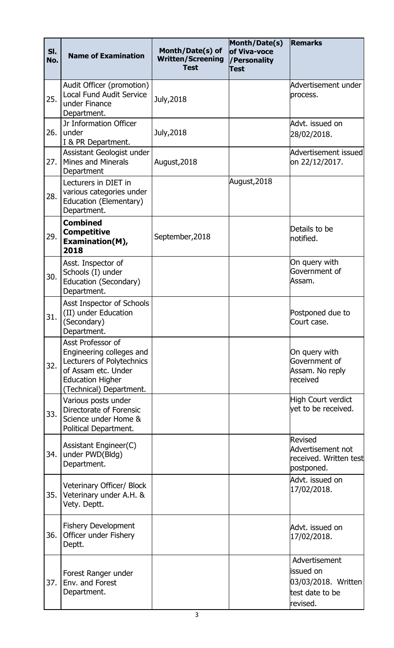| SI.<br>No. | <b>Name of Examination</b>                                                                                                                              | Month/Date(s) of<br><b>Written/Screening</b><br><b>Test</b> | Month/Date(s)<br>of Viva-voce<br>/Personality<br><b>Test</b> | <b>Remarks</b>                                                                   |
|------------|---------------------------------------------------------------------------------------------------------------------------------------------------------|-------------------------------------------------------------|--------------------------------------------------------------|----------------------------------------------------------------------------------|
| 25.        | Audit Officer (promotion)<br><b>Local Fund Audit Service</b><br>under Finance<br>Department.                                                            | July, 2018                                                  |                                                              | Advertisement under<br>process.                                                  |
| 26.        | Jr Information Officer<br>under<br>I & PR Department.                                                                                                   | July, 2018                                                  |                                                              | Advt. issued on<br>28/02/2018.                                                   |
| 27.        | Assistant Geologist under<br><b>Mines and Minerals</b><br>Department                                                                                    | August, 2018                                                |                                                              | Advertisement issued<br>on 22/12/2017.                                           |
| 28.        | Lecturers in DIET in<br>various categories under<br>Education (Elementary)<br>Department.                                                               |                                                             | August, 2018                                                 |                                                                                  |
| 29.        | <b>Combined</b><br><b>Competitive</b><br>Examination(M),<br>2018                                                                                        | September, 2018                                             |                                                              | Details to be<br>notified.                                                       |
| 30.        | Asst. Inspector of<br>Schools (I) under<br>Education (Secondary)<br>Department.                                                                         |                                                             |                                                              | On query with<br>Government of<br>Assam.                                         |
| 31.        | Asst Inspector of Schools<br>(II) under Education<br>(Secondary)<br>Department.                                                                         |                                                             |                                                              | Postponed due to<br>Court case.                                                  |
| 32.        | Asst Professor of<br>Engineering colleges and<br>Lecturers of Polytechnics<br>of Assam etc. Under<br><b>Education Higher</b><br>(Technical) Department. |                                                             |                                                              | On query with<br>Government of<br>Assam. No reply<br>received                    |
| 33.        | Various posts under<br>Directorate of Forensic<br>Science under Home &<br>Political Department.                                                         |                                                             |                                                              | High Court verdict<br>vet to be received.                                        |
| 34.        | Assistant Engineer(C)<br>under PWD(Bldg)<br>Department.                                                                                                 |                                                             |                                                              | Revised<br>Advertisement not<br>received. Written test<br>postponed.             |
| 35.        | Veterinary Officer/ Block<br>Veterinary under A.H. &<br>Vety. Deptt.                                                                                    |                                                             |                                                              | Advt. issued on<br>17/02/2018.                                                   |
| 36.        | <b>Fishery Development</b><br>Officer under Fishery<br>Deptt.                                                                                           |                                                             |                                                              | Advt. issued on<br>17/02/2018.                                                   |
| 37.        | Forest Ranger under<br>Env. and Forest<br>Department.                                                                                                   |                                                             |                                                              | Advertisement<br>issued on<br>03/03/2018. Written<br>test date to be<br>revised. |